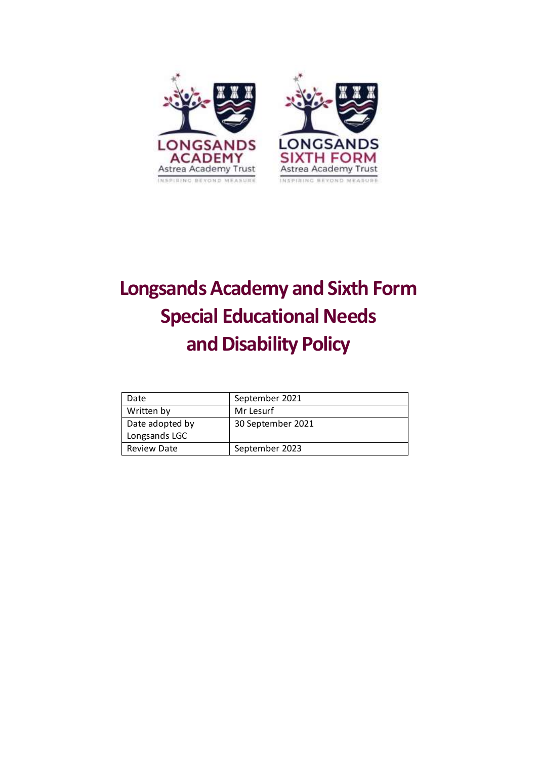

# **Longsands Academy and Sixth Form Special Educational Needs and Disability Policy**

| Date               | September 2021    |
|--------------------|-------------------|
| Written by         | Mr Lesurf         |
| Date adopted by    | 30 September 2021 |
| Longsands LGC      |                   |
| <b>Review Date</b> | September 2023    |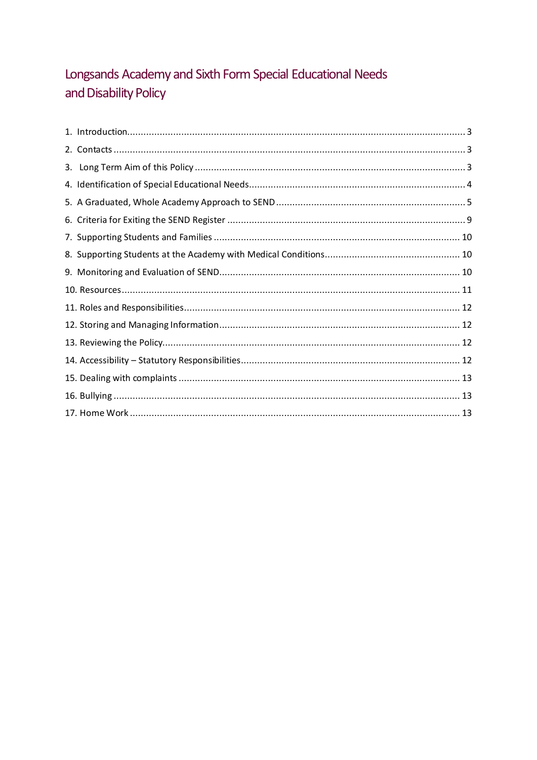# Longsands Academy and Sixth Form Special Educational Needs and Disability Policy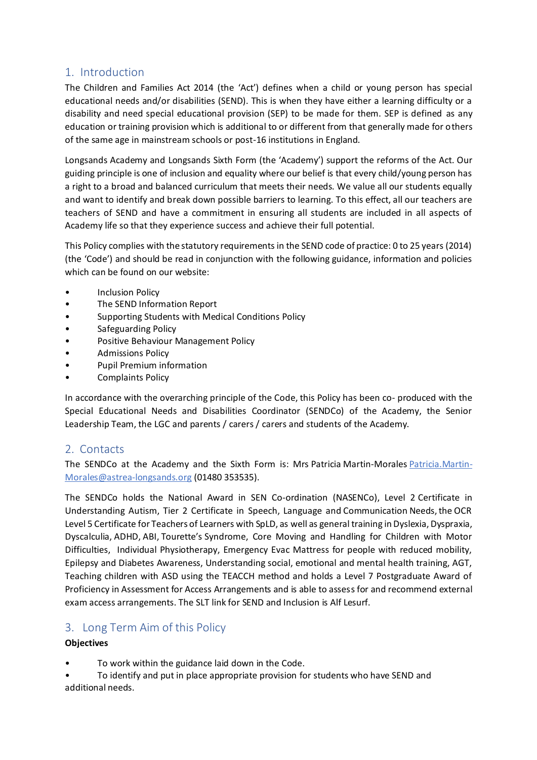# <span id="page-2-0"></span>1. Introduction

The Children and Families Act 2014 (the 'Act') defines when a child or young person has special educational needs and/or disabilities (SEND). This is when they have either a learning difficulty or a disability and need special educational provision (SEP) to be made for them. SEP is defined as any education or training provision which is additional to or different from that generally made for others of the same age in mainstream schools or post-16 institutions in England.

Longsands Academy and Longsands Sixth Form (the 'Academy') support the reforms of the Act. Our guiding principle is one of inclusion and equality where our belief is that every child/young person has a right to a broad and balanced curriculum that meets their needs. We value all our students equally and want to identify and break down possible barriers to learning. To this effect, all our teachers are teachers of SEND and have a commitment in ensuring all students are included in all aspects of Academy life so that they experience success and achieve their full potential.

This Policy complies with the statutory requirements in the SEND code of practice: 0 to 25 years (2014) (the 'Code') and should be read in conjunction with the following guidance, information and policies which can be found on our website:

- **Inclusion Policy**
- The SEND Information Report
- Supporting Students with Medical Conditions Policy
- Safeguarding Policy
- Positive Behaviour Management Policy
- Admissions Policy
- Pupil Premium information
- Complaints Policy

In accordance with the overarching principle of the Code, this Policy has been co- produced with the Special Educational Needs and Disabilities Coordinator (SENDCo) of the Academy, the Senior Leadership Team, the LGC and parents / carers / carers and students of the Academy.

# <span id="page-2-1"></span>2. Contacts

The SENDCo at the Academy and the Sixth Form is: Mrs Patricia Martin-Morale[s Patricia.Martin-](mailto:Patricia.Martin-Morales@astrea-longsands.org)[Morales@astrea-longsands.org](mailto:Patricia.Martin-Morales@astrea-longsands.org) (01480 353535).

The SENDCo holds the National Award in SEN Co-ordination (NASENCo), Level 2 Certificate in Understanding Autism, Tier 2 Certificate in Speech, Language and Communication Needs, the OCR Level 5 Certificate for Teachers of Learners with SpLD, as well as general training in Dyslexia, Dyspraxia, Dyscalculia, ADHD, ABI, Tourette's Syndrome, Core Moving and Handling for Children with Motor Difficulties, Individual Physiotherapy, Emergency Evac Mattress for people with reduced mobility, Epilepsy and Diabetes Awareness, Understanding social, emotional and mental health training, AGT, Teaching children with ASD using the TEACCH method and holds a Level 7 Postgraduate Award of Proficiency in Assessment for Access Arrangements and is able to assess for and recommend external exam access arrangements. The SLT link for SEND and Inclusion is Alf Lesurf.

# <span id="page-2-2"></span>3. Long Term Aim of this Policy

#### **Objectives**

- To work within the guidance laid down in the Code.
- To identify and put in place appropriate provision for students who have SEND and additional needs.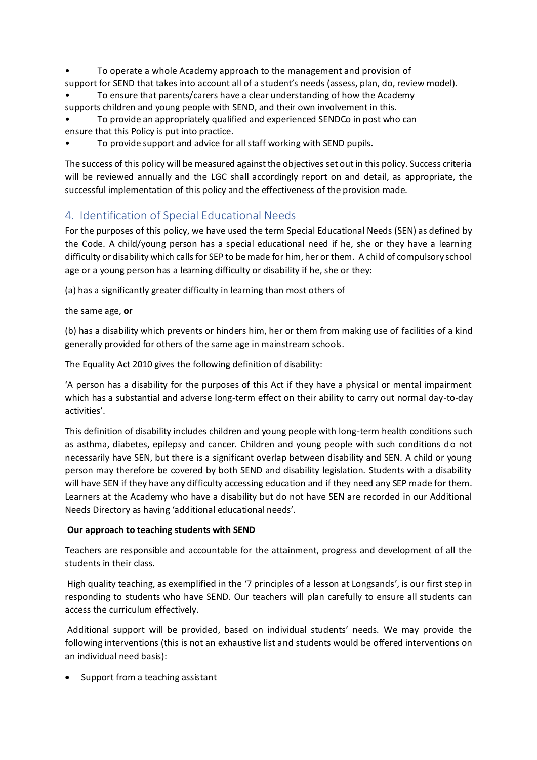• To operate a whole Academy approach to the management and provision of support for SEND that takes into account all of a student's needs (assess, plan, do, review model).

• To ensure that parents/carers have a clear understanding of how the Academy supports children and young people with SEND, and their own involvement in this.

• To provide an appropriately qualified and experienced SENDCo in post who can ensure that this Policy is put into practice.

• To provide support and advice for all staff working with SEND pupils.

The success of this policy will be measured against the objectives set out in this policy. Success criteria will be reviewed annually and the LGC shall accordingly report on and detail, as appropriate, the successful implementation of this policy and the effectiveness of the provision made.

# <span id="page-3-0"></span>4. Identification of Special Educational Needs

For the purposes of this policy, we have used the term Special Educational Needs (SEN) as defined by the Code. A child/young person has a special educational need if he, she or they have a learning difficulty or disability which calls for SEP to be made for him, her or them. A child of compulsory school age or a young person has a learning difficulty or disability if he, she or they:

(a) has a significantly greater difficulty in learning than most others of

the same age, **or**

(b) has a disability which prevents or hinders him, her or them from making use of facilities of a kind generally provided for others of the same age in mainstream schools.

The Equality Act 2010 gives the following definition of disability:

'A person has a disability for the purposes of this Act if they have a physical or mental impairment which has a substantial and adverse long-term effect on their ability to carry out normal day-to-day activities'.

This definition of disability includes children and young people with long-term health conditions such as asthma, diabetes, epilepsy and cancer. Children and young people with such conditions do not necessarily have SEN, but there is a significant overlap between disability and SEN. A child or young person may therefore be covered by both SEND and disability legislation. Students with a disability will have SEN if they have any difficulty accessing education and if they need any SEP made for them. Learners at the Academy who have a disability but do not have SEN are recorded in our Additional Needs Directory as having 'additional educational needs'.

#### **Our approach to teaching students with SEND**

Teachers are responsible and accountable for the attainment, progress and development of all the students in their class.

High quality teaching, as exemplified in the '7 principles of a lesson at Longsands', is our first step in responding to students who have SEND. Our teachers will plan carefully to ensure all students can access the curriculum effectively.

Additional support will be provided, based on individual students' needs. We may provide the following interventions (this is not an exhaustive list and students would be offered interventions on an individual need basis):

Support from a teaching assistant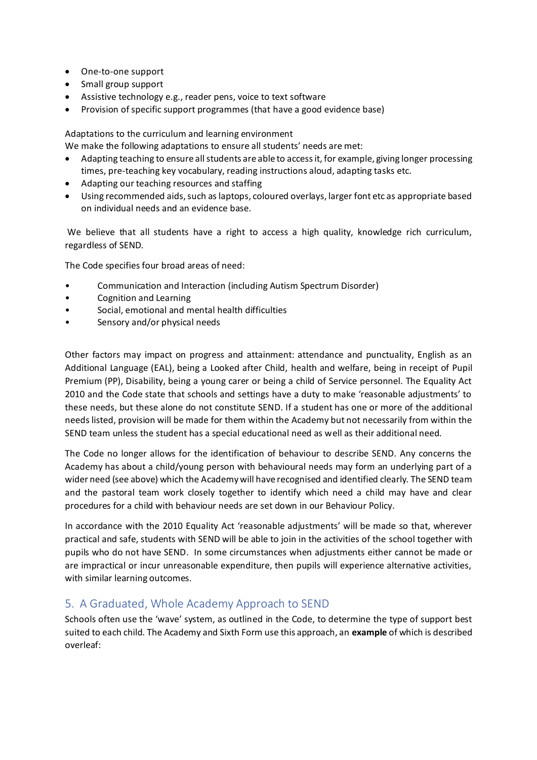- One-to-one support
- Small group support
- Assistive technology e.g., reader pens, voice to text software
- Provision of specific support programmes (that have a good evidence base)

Adaptations to the curriculum and learning environment

We make the following adaptations to ensure all students' needs are met:

- Adapting teaching to ensure all students are able to access it, for example, giving longer processing times, pre-teaching key vocabulary, reading instructions aloud, adapting tasks etc.
- Adapting our teaching resources and staffing
- Using recommended aids, such as laptops, coloured overlays, larger font etc as appropriate based on individual needs and an evidence base.

We believe that all students have a right to access a high quality, knowledge rich curriculum, regardless of SEND.

The Code specifies four broad areas of need:

- Communication and Interaction (including Autism Spectrum Disorder)
- Cognition and Learning
- Social, emotional and mental health difficulties
- Sensory and/or physical needs

Other factors may impact on progress and attainment: attendance and punctuality, English as an Additional Language (EAL), being a Looked after Child, health and welfare, being in receipt of Pupil Premium (PP), Disability, being a young carer or being a child of Service personnel. The Equality Act 2010 and the Code state that schools and settings have a duty to make 'reasonable adjustments' to these needs, but these alone do not constitute SEND. If a student has one or more of the additional needs listed, provision will be made for them within the Academy but not necessarily from within the SEND team unless the student has a special educational need as well as their additional need.

The Code no longer allows for the identification of behaviour to describe SEND. Any concerns the Academy has about a child/young person with behavioural needs may form an underlying part of a wider need (see above) which the Academy will have recognised and identified clearly. The SEND team and the pastoral team work closely together to identify which need a child may have and clear procedures for a child with behaviour needs are set down in our Behaviour Policy.

In accordance with the 2010 Equality Act 'reasonable adjustments' will be made so that, wherever practical and safe, students with SEND will be able to join in the activities of the school together with pupils who do not have SEND. In some circumstances when adjustments either cannot be made or are impractical or incur unreasonable expenditure, then pupils will experience alternative activities, with similar learning outcomes.

# <span id="page-4-0"></span>5. A Graduated, Whole Academy Approach to SEND

Schools often use the 'wave' system, as outlined in the Code, to determine the type of support best suited to each child. The Academy and Sixth Form use this approach, an **example** of which is described overleaf: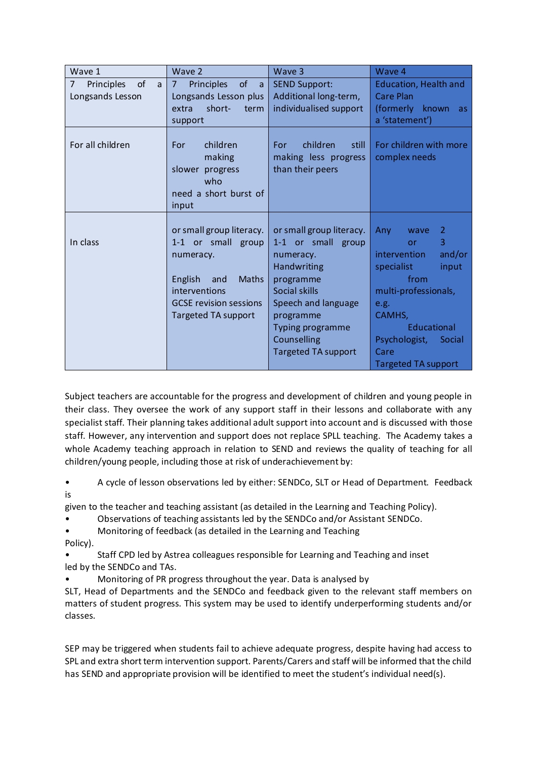| Wave 1                                                      | Wave 2                                                                                                                                                                 | Wave 3                                                                                                                                                                                                               | Wave 4                                                                                                                                                                                                         |
|-------------------------------------------------------------|------------------------------------------------------------------------------------------------------------------------------------------------------------------------|----------------------------------------------------------------------------------------------------------------------------------------------------------------------------------------------------------------------|----------------------------------------------------------------------------------------------------------------------------------------------------------------------------------------------------------------|
| $\overline{7}$<br>of<br>Principles<br>a<br>Longsands Lesson | of<br>$\overline{7}$<br>Principles<br><sub>a</sub><br>Longsands Lesson plus<br>short-<br>extra<br>term<br>support                                                      | <b>SEND Support:</b><br>Additional long-term,<br>individualised support                                                                                                                                              | <b>Education, Health and</b><br><b>Care Plan</b><br>(formerly known<br>as.<br>a 'statement')                                                                                                                   |
| For all children                                            | For<br>children<br>making<br>slower progress<br>who<br>need a short burst of<br>input                                                                                  | children<br>still<br>For:<br>making less progress<br>than their peers                                                                                                                                                | For children with more<br>complex needs                                                                                                                                                                        |
| In class                                                    | or small group literacy.<br>1-1 or small group<br>numeracy.<br><b>Maths</b><br>English<br>and<br>interventions<br><b>GCSE</b> revision sessions<br>Targeted TA support | or small group literacy.<br>1-1 or small group<br>numeracy.<br><b>Handwriting</b><br>programme<br>Social skills<br>Speech and language<br>programme<br>Typing programme<br>Counselling<br><b>Targeted TA support</b> | Any<br>2<br>wave<br>3<br>or<br>intervention<br>and/or<br>specialist<br>input<br>from<br>multi-professionals,<br>e.g.<br>CAMHS,<br>Educational<br>Psychologist,<br>Social<br>Care<br><b>Targeted TA support</b> |

Subject teachers are accountable for the progress and development of children and young people in their class. They oversee the work of any support staff in their lessons and collaborate with any specialist staff. Their planning takes additional adult support into account and is discussed with those staff. However, any intervention and support does not replace SPLL teaching. The Academy takes a whole Academy teaching approach in relation to SEND and reviews the quality of teaching for all children/young people, including those at risk of underachievement by:

• A cycle of lesson observations led by either: SENDCo, SLT or Head of Department. Feedback is

given to the teacher and teaching assistant (as detailed in the Learning and Teaching Policy).

• Observations of teaching assistants led by the SENDCo and/or Assistant SENDCo.

• Monitoring of feedback (as detailed in the Learning and Teaching

- Policy).
- Staff CPD led by Astrea colleagues responsible for Learning and Teaching and inset led by the SENDCo and TAs.
- Monitoring of PR progress throughout the year. Data is analysed by

SLT, Head of Departments and the SENDCo and feedback given to the relevant staff members on matters of student progress. This system may be used to identify underperforming students and/or classes.

SEP may be triggered when students fail to achieve adequate progress, despite having had access to SPL and extra short term intervention support. Parents/Carers and staff will be informed that the child has SEND and appropriate provision will be identified to meet the student's individual need(s).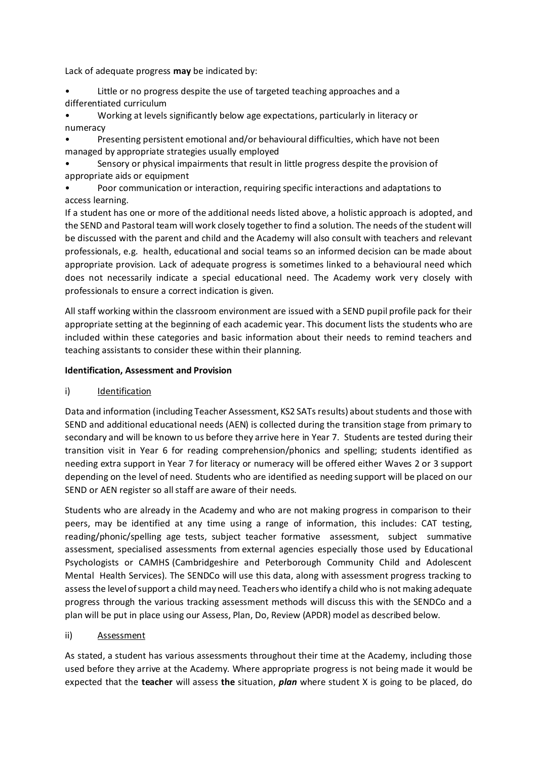Lack of adequate progress **may** be indicated by:

• Little or no progress despite the use of targeted teaching approaches and a differentiated curriculum

• Working at levels significantly below age expectations, particularly in literacy or numeracy

• Presenting persistent emotional and/or behavioural difficulties, which have not been managed by appropriate strategies usually employed

• Sensory or physical impairments that result in little progress despite the provision of appropriate aids or equipment

• Poor communication or interaction, requiring specific interactions and adaptations to access learning.

If a student has one or more of the additional needs listed above, a holistic approach is adopted, and the SEND and Pastoral team will work closely together to find a solution. The needs of the student will be discussed with the parent and child and the Academy will also consult with teachers and relevant professionals, e.g. health, educational and social teams so an informed decision can be made about appropriate provision. Lack of adequate progress is sometimes linked to a behavioural need which does not necessarily indicate a special educational need. The Academy work very closely with professionals to ensure a correct indication is given.

All staff working within the classroom environment are issued with a SEND pupil profile pack for their appropriate setting at the beginning of each academic year. This document lists the students who are included within these categories and basic information about their needs to remind teachers and teaching assistants to consider these within their planning.

#### **Identification, Assessment and Provision**

#### i) Identification

Data and information (including Teacher Assessment, KS2 SATs results) about students and those with SEND and additional educational needs (AEN) is collected during the transition stage from primary to secondary and will be known to us before they arrive here in Year 7. Students are tested during their transition visit in Year 6 for reading comprehension/phonics and spelling; students identified as needing extra support in Year 7 for literacy or numeracy will be offered either Waves 2 or 3 support depending on the level of need. Students who are identified as needing support will be placed on our SEND or AEN register so all staff are aware of their needs.

Students who are already in the Academy and who are not making progress in comparison to their peers, may be identified at any time using a range of information, this includes: CAT testing, reading/phonic/spelling age tests, subject teacher formative assessment, subject summative assessment, specialised assessments from external agencies especially those used by Educational Psychologists or CAMHS (Cambridgeshire and Peterborough Community Child and Adolescent Mental Health Services). The SENDCo will use this data, along with assessment progress tracking to assess the level of support a child may need. Teachers who identify a child who is not making adequate progress through the various tracking assessment methods will discuss this with the SENDCo and a plan will be put in place using our Assess, Plan, Do, Review (APDR) model as described below.

#### ii) Assessment

As stated, a student has various assessments throughout their time at the Academy, including those used before they arrive at the Academy. Where appropriate progress is not being made it would be expected that the **teacher** will assess **the** situation, *plan* where student X is going to be placed, do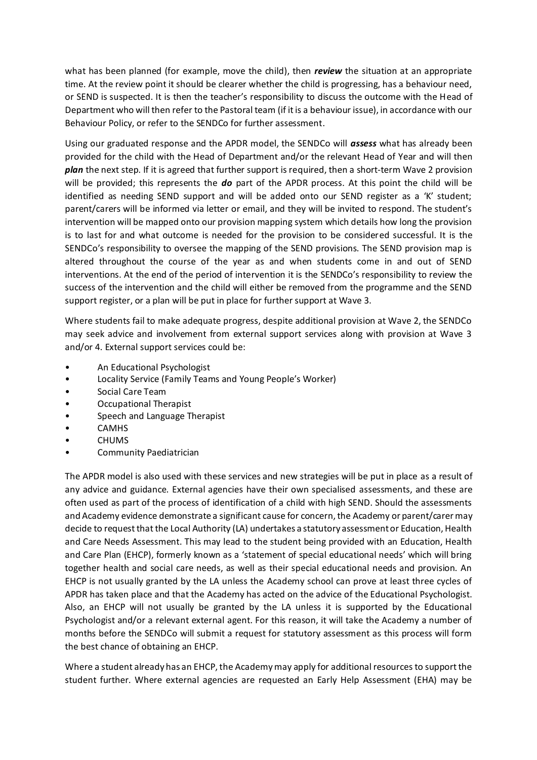what has been planned (for example, move the child), then *review* the situation at an appropriate time. At the review point it should be clearer whether the child is progressing, has a behaviour need, or SEND is suspected. It is then the teacher's responsibility to discuss the outcome with the Head of Department who will then refer to the Pastoral team (if it is a behaviour issue), in accordance with our Behaviour Policy, or refer to the SENDCo for further assessment.

Using our graduated response and the APDR model, the SENDCo will *assess* what has already been provided for the child with the Head of Department and/or the relevant Head of Year and will then *plan* the next step. If it is agreed that further support is required, then a short-term Wave 2 provision will be provided; this represents the *do* part of the APDR process. At this point the child will be identified as needing SEND support and will be added onto our SEND register as a 'K' student; parent/carers will be informed via letter or email, and they will be invited to respond. The student's intervention will be mapped onto our provision mapping system which details how long the provision is to last for and what outcome is needed for the provision to be considered successful. It is the SENDCo's responsibility to oversee the mapping of the SEND provisions. The SEND provision map is altered throughout the course of the year as and when students come in and out of SEND interventions. At the end of the period of intervention it is the SENDCo's responsibility to review the success of the intervention and the child will either be removed from the programme and the SEND support register, or a plan will be put in place for further support at Wave 3.

Where students fail to make adequate progress, despite additional provision at Wave 2, the SENDCo may seek advice and involvement from external support services along with provision at Wave 3 and/or 4. External support services could be:

- An Educational Psychologist
- Locality Service (Family Teams and Young People's Worker)
- Social Care Team
- Occupational Therapist
- Speech and Language Therapist
- CAMHS
- **CHUMS**
- Community Paediatrician

The APDR model is also used with these services and new strategies will be put in place as a result of any advice and guidance. External agencies have their own specialised assessments, and these are often used as part of the process of identification of a child with high SEND. Should the assessments and Academy evidence demonstrate a significant cause for concern, the Academy or parent/carer may decide to request that the Local Authority (LA) undertakes a statutory assessment or Education, Health and Care Needs Assessment. This may lead to the student being provided with an Education, Health and Care Plan (EHCP), formerly known as a 'statement of special educational needs' which will bring together health and social care needs, as well as their special educational needs and provision. An EHCP is not usually granted by the LA unless the Academy school can prove at least three cycles of APDR has taken place and that the Academy has acted on the advice of the Educational Psychologist. Also, an EHCP will not usually be granted by the LA unless it is supported by the Educational Psychologist and/or a relevant external agent. For this reason, it will take the Academy a number of months before the SENDCo will submit a request for statutory assessment as this process will form the best chance of obtaining an EHCP.

Where a student already has an EHCP, the Academy may apply for additional resources to support the student further. Where external agencies are requested an Early Help Assessment (EHA) may be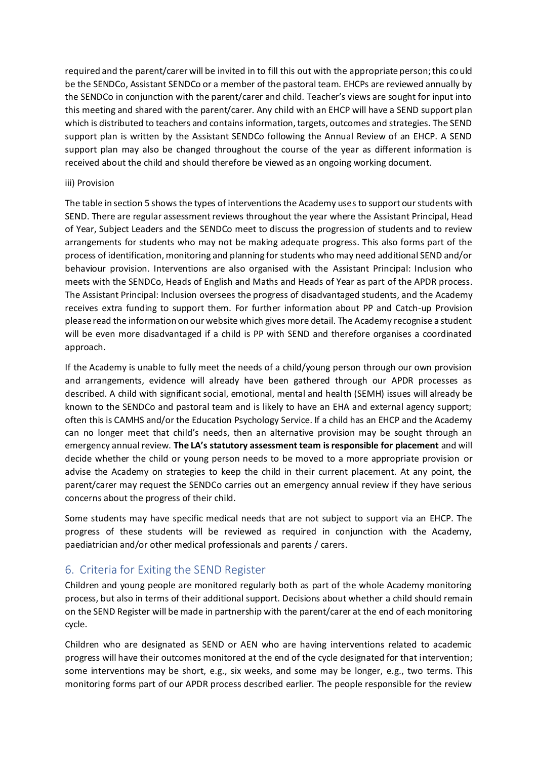required and the parent/carer will be invited in to fill this out with the appropriate person; this could be the SENDCo, Assistant SENDCo or a member of the pastoral team. EHCPs are reviewed annually by the SENDCo in conjunction with the parent/carer and child. Teacher's views are sought for input into this meeting and shared with the parent/carer. Any child with an EHCP will have a SEND support plan which is distributed to teachers and contains information, targets, outcomes and strategies. The SEND support plan is written by the Assistant SENDCo following the Annual Review of an EHCP. A SEND support plan may also be changed throughout the course of the year as different information is received about the child and should therefore be viewed as an ongoing working document.

#### iii) Provision

The table in section 5 shows the types of interventions the Academy uses to support our students with SEND. There are regular assessment reviews throughout the year where the Assistant Principal, Head of Year, Subject Leaders and the SENDCo meet to discuss the progression of students and to review arrangements for students who may not be making adequate progress. This also forms part of the process of identification, monitoring and planning for students who may need additional SEND and/or behaviour provision. Interventions are also organised with the Assistant Principal: Inclusion who meets with the SENDCo, Heads of English and Maths and Heads of Year as part of the APDR process. The Assistant Principal: Inclusion oversees the progress of disadvantaged students, and the Academy receives extra funding to support them. For further information about PP and Catch-up Provision please read the information on our website which gives more detail. The Academy recognise a student will be even more disadvantaged if a child is PP with SEND and therefore organises a coordinated approach.

If the Academy is unable to fully meet the needs of a child/young person through our own provision and arrangements, evidence will already have been gathered through our APDR processes as described. A child with significant social, emotional, mental and health (SEMH) issues will already be known to the SENDCo and pastoral team and is likely to have an EHA and external agency support; often this is CAMHS and/or the Education Psychology Service. If a child has an EHCP and the Academy can no longer meet that child's needs, then an alternative provision may be sought through an emergency annual review. **The LA's statutory assessment team is responsible for placement** and will decide whether the child or young person needs to be moved to a more appropriate provision or advise the Academy on strategies to keep the child in their current placement. At any point, the parent/carer may request the SENDCo carries out an emergency annual review if they have serious concerns about the progress of their child.

Some students may have specific medical needs that are not subject to support via an EHCP. The progress of these students will be reviewed as required in conjunction with the Academy, paediatrician and/or other medical professionals and parents / carers.

#### <span id="page-8-0"></span>6. Criteria for Exiting the SEND Register

Children and young people are monitored regularly both as part of the whole Academy monitoring process, but also in terms of their additional support. Decisions about whether a child should remain on the SEND Register will be made in partnership with the parent/carer at the end of each monitoring cycle.

Children who are designated as SEND or AEN who are having interventions related to academic progress will have their outcomes monitored at the end of the cycle designated for that intervention; some interventions may be short, e.g., six weeks, and some may be longer, e.g., two terms. This monitoring forms part of our APDR process described earlier. The people responsible for the review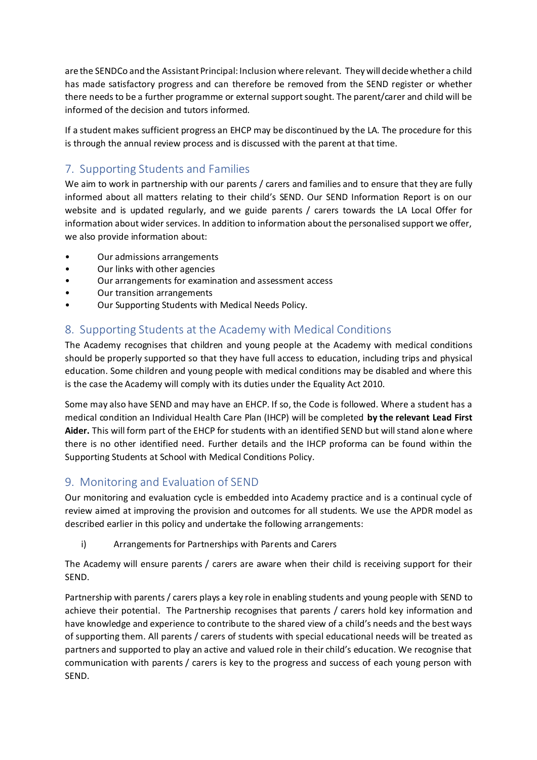are the SENDCo and the Assistant Principal: Inclusion where relevant. They will decide whether a child has made satisfactory progress and can therefore be removed from the SEND register or whether there needs to be a further programme or external support sought. The parent/carer and child will be informed of the decision and tutors informed.

If a student makes sufficient progress an EHCP may be discontinued by the LA. The procedure for this is through the annual review process and is discussed with the parent at that time.

# <span id="page-9-0"></span>7. Supporting Students and Families

We aim to work in partnership with our parents / carers and families and to ensure that they are fully informed about all matters relating to their child's SEND. Our SEND Information Report is on our website and is updated regularly, and we guide parents / carers towards the LA Local Offer for information about wider services. In addition to information about the personalised support we offer, we also provide information about:

- Our admissions arrangements
- Our links with other agencies
- Our arrangements for examination and assessment access
- Our transition arrangements
- Our Supporting Students with Medical Needs Policy.

# <span id="page-9-1"></span>8. Supporting Students at the Academy with Medical Conditions

The Academy recognises that children and young people at the Academy with medical conditions should be properly supported so that they have full access to education, including trips and physical education. Some children and young people with medical conditions may be disabled and where this is the case the Academy will comply with its duties under the Equality Act 2010.

Some may also have SEND and may have an EHCP. If so, the Code is followed. Where a student has a medical condition an Individual Health Care Plan (IHCP) will be completed **by the relevant Lead First Aider.** This will form part of the EHCP for students with an identified SEND but will stand alone where there is no other identified need. Further details and the IHCP proforma can be found within the Supporting Students at School with Medical Conditions Policy.

# <span id="page-9-2"></span>9. Monitoring and Evaluation of SEND

Our monitoring and evaluation cycle is embedded into Academy practice and is a continual cycle of review aimed at improving the provision and outcomes for all students. We use the APDR model as described earlier in this policy and undertake the following arrangements:

i) Arrangements for Partnerships with Parents and Carers

The Academy will ensure parents / carers are aware when their child is receiving support for their SEND.

Partnership with parents / carers plays a key role in enabling students and young people with SEND to achieve their potential. The Partnership recognises that parents / carers hold key information and have knowledge and experience to contribute to the shared view of a child's needs and the best ways of supporting them. All parents / carers of students with special educational needs will be treated as partners and supported to play an active and valued role in their child's education. We recognise that communication with parents / carers is key to the progress and success of each young person with SEND.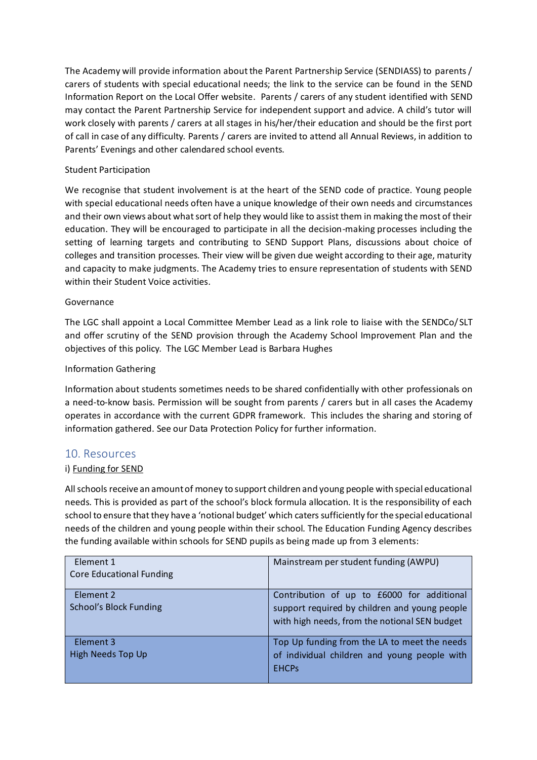The Academy will provide information about the Parent Partnership Service (SENDIASS) to parents / carers of students with special educational needs; the link to the service can be found in the SEND Information Report on the Local Offer website. Parents / carers of any student identified with SEND may contact the Parent Partnership Service for independent support and advice. A child's tutor will work closely with parents / carers at all stages in his/her/their education and should be the first port of call in case of any difficulty. Parents / carers are invited to attend all Annual Reviews, in addition to Parents' Evenings and other calendared school events.

#### Student Participation

We recognise that student involvement is at the heart of the SEND code of practice. Young people with special educational needs often have a unique knowledge of their own needs and circumstances and their own views about what sort of help they would like to assist them in making the most of their education. They will be encouraged to participate in all the decision-making processes including the setting of learning targets and contributing to SEND Support Plans, discussions about choice of colleges and transition processes. Their view will be given due weight according to their age, maturity and capacity to make judgments. The Academy tries to ensure representation of students with SEND within their Student Voice activities.

#### Governance

The LGC shall appoint a Local Committee Member Lead as a link role to liaise with the SENDCo/ SLT and offer scrutiny of the SEND provision through the Academy School Improvement Plan and the objectives of this policy. The LGC Member Lead is Barbara Hughes

#### Information Gathering

Information about students sometimes needs to be shared confidentially with other professionals on a need-to-know basis. Permission will be sought from parents / carers but in all cases the Academy operates in accordance with the current GDPR framework. This includes the sharing and storing of information gathered. See our Data Protection Policy for further information.

#### <span id="page-10-0"></span>10. Resources

#### i) Funding for SEND

All schools receive an amount of money to support children and young people with special educational needs. This is provided as part of the school's block formula allocation. It is the responsibility of each school to ensure that they have a 'notional budget' which caters sufficiently for the special educational needs of the children and young people within their school. The Education Funding Agency describes the funding available within schools for SEND pupils as being made up from 3 elements:

| Element 1<br><b>Core Educational Funding</b> | Mainstream per student funding (AWPU)                                                                                                        |
|----------------------------------------------|----------------------------------------------------------------------------------------------------------------------------------------------|
| Element 2<br><b>School's Block Funding</b>   | Contribution of up to £6000 for additional<br>support required by children and young people<br>with high needs, from the notional SEN budget |
| Element 3<br>High Needs Top Up               | Top Up funding from the LA to meet the needs<br>of individual children and young people with<br><b>EHCPs</b>                                 |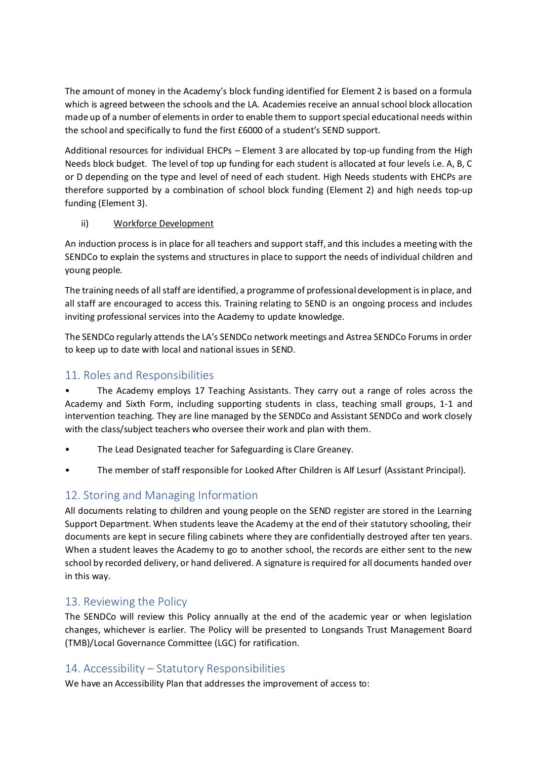The amount of money in the Academy's block funding identified for Element 2 is based on a formula which is agreed between the schools and the LA. Academies receive an annual school block allocation made up of a number of elements in order to enable them to support special educational needs within the school and specifically to fund the first £6000 of a student's SEND support.

Additional resources for individual EHCPs – Element 3 are allocated by top-up funding from the High Needs block budget. The level of top up funding for each student is allocated at four levels i.e. A, B, C or D depending on the type and level of need of each student. High Needs students with EHCPs are therefore supported by a combination of school block funding (Element 2) and high needs top-up funding (Element 3).

#### ii) Workforce Development

An induction process is in place for all teachers and support staff, and this includes a meeting with the SENDCo to explain the systems and structures in place to support the needs of individual children and young people.

The training needs of all staff are identified, a programme of professional development is in place, and all staff are encouraged to access this. Training relating to SEND is an ongoing process and includes inviting professional services into the Academy to update knowledge.

The SENDCo regularly attends the LA's SENDCo network meetings and Astrea SENDCo Forums in order to keep up to date with local and national issues in SEND.

# <span id="page-11-0"></span>11. Roles and Responsibilities

• The Academy employs 17 Teaching Assistants. They carry out a range of roles across the Academy and Sixth Form, including supporting students in class, teaching small groups, 1-1 and intervention teaching. They are line managed by the SENDCo and Assistant SENDCo and work closely with the class/subject teachers who oversee their work and plan with them.

- The Lead Designated teacher for Safeguarding is Clare Greaney.
- The member of staff responsible for Looked After Children is Alf Lesurf (Assistant Principal).

# <span id="page-11-1"></span>12. Storing and Managing Information

All documents relating to children and young people on the SEND register are stored in the Learning Support Department. When students leave the Academy at the end of their statutory schooling, their documents are kept in secure filing cabinets where they are confidentially destroyed after ten years. When a student leaves the Academy to go to another school, the records are either sent to the new school by recorded delivery, or hand delivered. A signature is required for all documents handed over in this way.

# <span id="page-11-2"></span>13. Reviewing the Policy

The SENDCo will review this Policy annually at the end of the academic year or when legislation changes, whichever is earlier. The Policy will be presented to Longsands Trust Management Board (TMB)/Local Governance Committee (LGC) for ratification.

# <span id="page-11-3"></span>14. Accessibility – Statutory Responsibilities

We have an Accessibility Plan that addresses the improvement of access to: